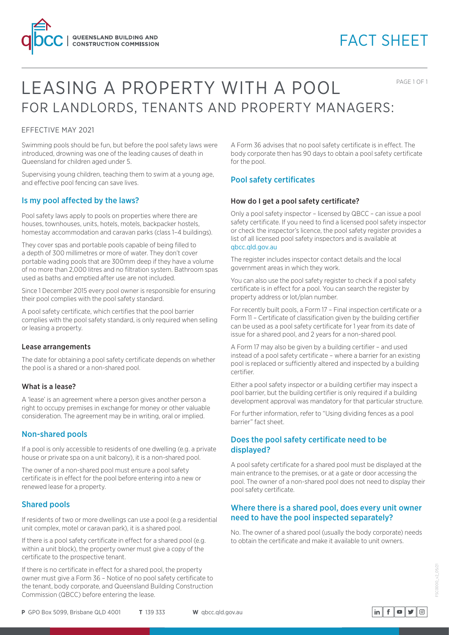

# FACT SHEET

PAGE 1 OF 1

# LEASING A PROPERTY WITH A POOL FOR LANDLORDS, TENANTS AND PROPERTY MANAGERS:

### EFFECTIVE MAY 2021

Swimming pools should be fun, but before the pool safety laws were introduced, drowning was one of the leading causes of death in Queensland for children aged under 5.

Supervising young children, teaching them to swim at a young age, and effective pool fencing can save lives.

## Is my pool affected by the laws?

Pool safety laws apply to pools on properties where there are houses, townhouses, units, hotels, motels, backpacker hostels, homestay accommodation and caravan parks (class 1–4 buildings).

They cover spas and portable pools capable of being filled to a depth of 300 millimetres or more of water. They don't cover portable wading pools that are 300mm deep if they have a volume of no more than 2,000 litres and no filtration system. Bathroom spas used as baths and emptied after use are not included.

Since 1 December 2015 every pool owner is responsible for ensuring their pool complies with the pool safety standard.

A pool safety certificate, which certifies that the pool barrier complies with the pool safety standard, is only required when selling or leasing a property.

#### Lease arrangements

The date for obtaining a pool safety certificate depends on whether the pool is a shared or a non-shared pool.

#### What is a lease?

A 'lease' is an agreement where a person gives another person a right to occupy premises in exchange for money or other valuable consideration. The agreement may be in writing, oral or implied.

#### Non-shared pools

If a pool is only accessible to residents of one dwelling (e.g. a private house or private spa on a unit balcony), it is a non-shared pool.

The owner of a non-shared pool must ensure a pool safety certificate is in effect for the pool before entering into a new or renewed lease for a property.

## Shared pools

If residents of two or more dwellings can use a pool (e.g a residential unit complex, motel or caravan park), it is a shared pool.

If there is a pool safety certificate in effect for a shared pool (e.g. within a unit block), the property owner must give a copy of the certificate to the prospective tenant.

If there is no certificate in effect for a shared pool, the property owner must give a Form 36 – Notice of no pool safety certificate to the tenant, body corporate, and Queensland Building Construction Commission (QBCC) before entering the lease.

A Form 36 advises that no pool safety certificate is in effect. The body corporate then has 90 days to obtain a pool safety certificate for the pool.

## Pool safety certificates

#### How do I get a pool safety certificate?

Only a pool safety inspector – licensed by QBCC – can issue a pool safety certificate. If you need to find a licensed pool safety inspector or check the inspector's licence, the pool safety register provides a list of all licensed pool safety inspectors and is available at qbcc.qld.gov.au

The register includes inspector contact details and the local government areas in which they work.

You can also use the pool safety register to check if a pool safety certificate is in effect for a pool. You can search the register by property address or lot/plan number.

For recently built pools, a Form 17 – Final inspection certificate or a Form 11 – Certificate of classification given by the building certifier can be used as a pool safety certificate for 1 year from its date of issue for a shared pool, and 2 years for a non-shared pool.

A Form 17 may also be given by a building certifier – and used instead of a pool safety certificate – where a barrier for an existing pool is replaced or sufficiently altered and inspected by a building certifier.

Either a pool safety inspector or a building certifier may inspect a pool barrier, but the building certifier is only required if a building development approval was mandatory for that particular structure.

For further information, refer to "Using dividing fences as a pool barrier" fact sheet.

## Does the pool safety certificate need to be displayed?

A pool safety certificate for a shared pool must be displayed at the main entrance to the premises, or at a gate or door accessing the pool. The owner of a non-shared pool does not need to display their pool safety certificate.

## Where there is a shared pool, does every unit owner need to have the pool inspected separately?

No. The owner of a shared pool (usually the body corporate) needs to obtain the certificate and make it available to unit owners.